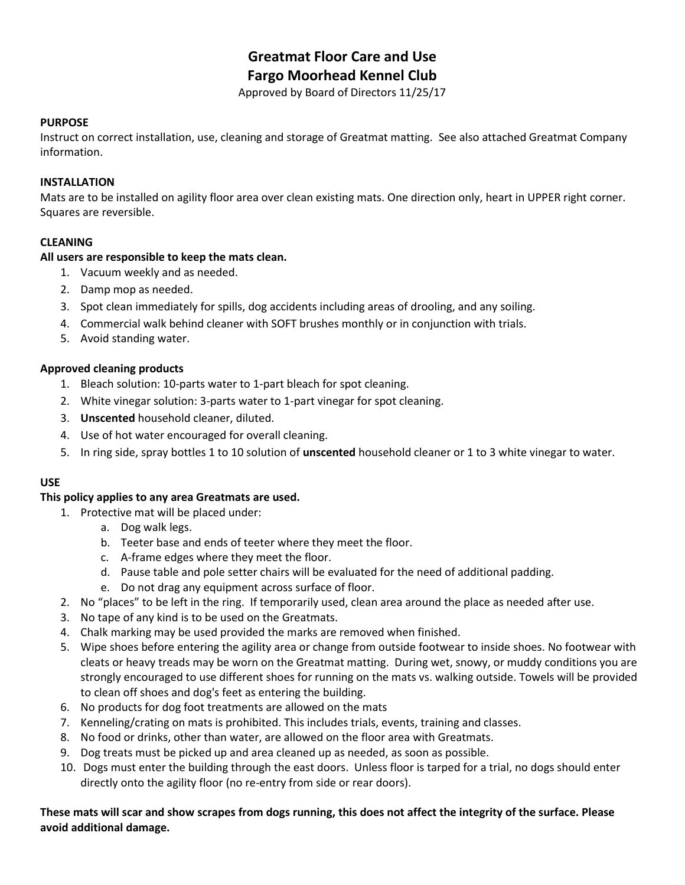# **Greatmat Floor Care and Use Fargo Moorhead Kennel Club**

Approved by Board of Directors 11/25/17

#### **PURPOSE**

Instruct on correct installation, use, cleaning and storage of Greatmat matting. See also attached Greatmat Company information.

# **INSTALLATION**

Mats are to be installed on agility floor area over clean existing mats. One direction only, heart in UPPER right corner. Squares are reversible.

# **CLEANING**

# **All users are responsible to keep the mats clean.**

- 1. Vacuum weekly and as needed.
- 2. Damp mop as needed.
- 3. Spot clean immediately for spills, dog accidents including areas of drooling, and any soiling.
- 4. Commercial walk behind cleaner with SOFT brushes monthly or in conjunction with trials.
- 5. Avoid standing water.

# **Approved cleaning products**

- 1. Bleach solution: 10-parts water to 1-part bleach for spot cleaning.
- 2. White vinegar solution: 3-parts water to 1-part vinegar for spot cleaning.
- 3. **Unscented** household cleaner, diluted.
- 4. Use of hot water encouraged for overall cleaning.
- 5. In ring side, spray bottles 1 to 10 solution of **unscented** household cleaner or 1 to 3 white vinegar to water.

# **USE**

#### **This policy applies to any area Greatmats are used.**

- 1. Protective mat will be placed under:
	- a. Dog walk legs.
	- b. Teeter base and ends of teeter where they meet the floor.
	- c. A-frame edges where they meet the floor.
	- d. Pause table and pole setter chairs will be evaluated for the need of additional padding.
	- e. Do not drag any equipment across surface of floor.
- 2. No "places" to be left in the ring. If temporarily used, clean area around the place as needed after use.
- 3. No tape of any kind is to be used on the Greatmats.
- 4. Chalk marking may be used provided the marks are removed when finished.
- 5. Wipe shoes before entering the agility area or change from outside footwear to inside shoes. No footwear with cleats or heavy treads may be worn on the Greatmat matting. During wet, snowy, or muddy conditions you are strongly encouraged to use different shoes for running on the mats vs. walking outside. Towels will be provided to clean off shoes and dog's feet as entering the building.
- 6. No products for dog foot treatments are allowed on the mats
- 7. Kenneling/crating on mats is prohibited. This includes trials, events, training and classes.
- 8. No food or drinks, other than water, are allowed on the floor area with Greatmats.
- 9. Dog treats must be picked up and area cleaned up as needed, as soon as possible.
- 10. Dogs must enter the building through the east doors. Unless floor is tarped for a trial, no dogs should enter directly onto the agility floor (no re-entry from side or rear doors).

# **These mats will scar and show scrapes from dogs running, this does not affect the integrity of the surface. Please avoid additional damage.**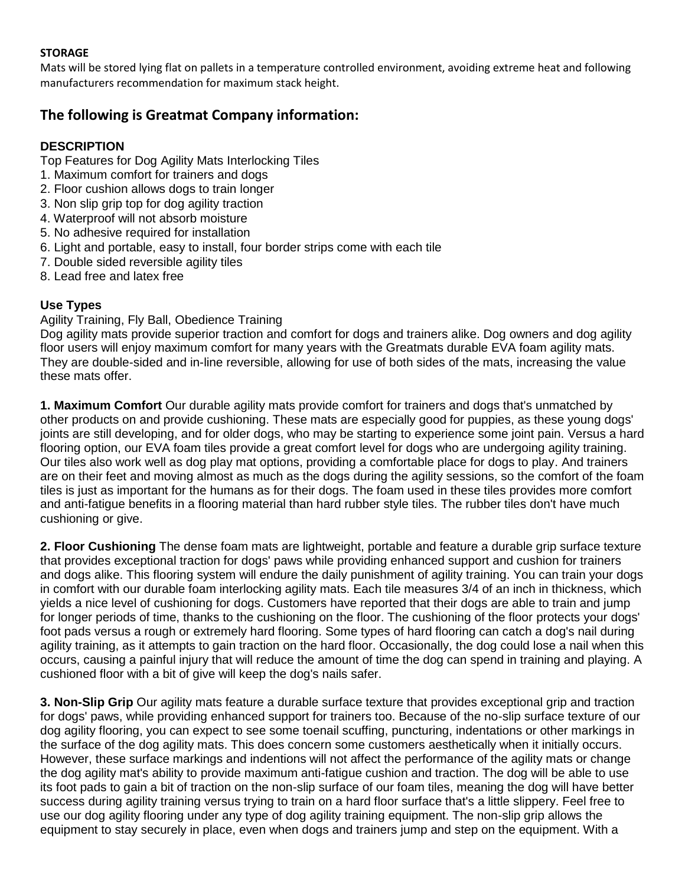# **STORAGE**

Mats will be stored lying flat on pallets in a temperature controlled environment, avoiding extreme heat and following manufacturers recommendation for maximum stack height.

# **The following is Greatmat Company information:**

# **DESCRIPTION**

Top Features for Dog Agility Mats Interlocking Tiles

- 1. Maximum comfort for trainers and dogs
- 2. Floor cushion allows dogs to train longer
- 3. Non slip grip top for dog agility traction
- 4. Waterproof will not absorb moisture
- 5. No adhesive required for installation
- 6. Light and portable, easy to install, four border strips come with each tile
- 7. Double sided reversible agility tiles
- 8. Lead free and latex free

# **Use Types**

Agility Training, Fly Ball, Obedience Training

Dog agility mats provide superior traction and comfort for dogs and trainers alike. Dog owners and dog agility floor users will enjoy maximum comfort for many years with the Greatmats durable EVA foam agility mats. They are double-sided and in-line reversible, allowing for use of both sides of the mats, increasing the value these mats offer.

**1. Maximum Comfort** Our durable agility mats provide comfort for trainers and dogs that's unmatched by other products on and provide cushioning. These mats are especially good for puppies, as these young dogs' joints are still developing, and for older dogs, who may be starting to experience some joint pain. Versus a hard flooring option, our EVA foam tiles provide a great comfort level for dogs who are undergoing agility training. Our tiles also work well as dog play mat options, providing a comfortable place for dogs to play. And trainers are on their feet and moving almost as much as the dogs during the agility sessions, so the comfort of the foam tiles is just as important for the humans as for their dogs. The foam used in these tiles provides more comfort and anti-fatigue benefits in a flooring material than hard rubber style tiles. The rubber tiles don't have much cushioning or give.

**2. Floor Cushioning** The dense foam mats are lightweight, portable and feature a durable grip surface texture that provides exceptional traction for dogs' paws while providing enhanced support and cushion for trainers and dogs alike. This flooring system will endure the daily punishment of agility training. You can train your dogs in comfort with our durable foam interlocking agility mats. Each tile measures 3/4 of an inch in thickness, which yields a nice level of cushioning for dogs. Customers have reported that their dogs are able to train and jump for longer periods of time, thanks to the cushioning on the floor. The cushioning of the floor protects your dogs' foot pads versus a rough or extremely hard flooring. Some types of hard flooring can catch a dog's nail during agility training, as it attempts to gain traction on the hard floor. Occasionally, the dog could lose a nail when this occurs, causing a painful injury that will reduce the amount of time the dog can spend in training and playing. A cushioned floor with a bit of give will keep the dog's nails safer.

**3. Non-Slip Grip** Our agility mats feature a durable surface texture that provides exceptional grip and traction for dogs' paws, while providing enhanced support for trainers too. Because of the no-slip surface texture of our dog agility flooring, you can expect to see some toenail scuffing, puncturing, indentations or other markings in the surface of the dog agility mats. This does concern some customers aesthetically when it initially occurs. However, these surface markings and indentions will not affect the performance of the agility mats or change the dog agility mat's ability to provide maximum anti-fatigue cushion and traction. The dog will be able to use its foot pads to gain a bit of traction on the non-slip surface of our foam tiles, meaning the dog will have better success during agility training versus trying to train on a hard floor surface that's a little slippery. Feel free to use our dog agility flooring under any type of dog agility training equipment. The non-slip grip allows the equipment to stay securely in place, even when dogs and trainers jump and step on the equipment. With a